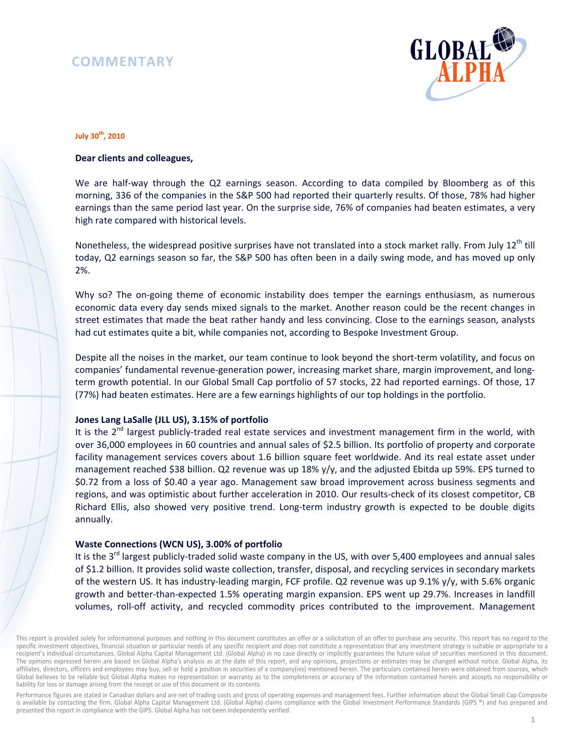# **COMMENTARY**



#### **July 30th, 2010**

## **Dear clients and colleagues,**

We are half-way through the Q2 earnings season. According to data compiled by Bloomberg as of this morning, 336 of the companies in the S&P 500 had reported their quarterly results. Of those, 78% had higher earnings than the same period last year. On the surprise side, 76% of companies had beaten estimates, a very high rate compared with historical levels.

Nonetheless, the widespread positive surprises have not translated into a stock market rally. From July 12<sup>th</sup> till today, Q2 earnings season so far, the S&P 500 has often been in a daily swing mode, and has moved up only 2%.

Why so? The on-going theme of economic instability does temper the earnings enthusiasm, as numerous economic data every day sends mixed signals to the market. Another reason could be the recent changes in street estimates that made the beat rather handy and less convincing. Close to the earnings season, analysts had cut estimates quite a bit, while companies not, according to Bespoke Investment Group.

Despite all the noises in the market, our team continue to look beyond the short-term volatility, and focus on companies' fundamental revenue-generation power, increasing market share, margin improvement, and longterm growth potential. In our Global Small Cap portfolio of 57 stocks, 22 had reported earnings. Of those, 17 (77%) had beaten estimates. Here are a few earnings highlights of our top holdings in the portfolio.

#### **Jones Lang LaSalle (JLL US), 3.15% of portfolio**

It is the 2<sup>nd</sup> largest publicly-traded real estate services and investment management firm in the world, with over 36,000 employees in 60 countries and annual sales of \$2.5 billion. Its portfolio of property and corporate facility management services covers about 1.6 billion square feet worldwide. And its real estate asset under management reached \$38 billion. Q2 revenue was up 18% y/y, and the adjusted Ebitda up 59%. EPS turned to \$0.72 from a loss of \$0.40 a year ago. Management saw broad improvement across business segments and regions, and was optimistic about further acceleration in 2010. Our results-check of its closest competitor, CB Richard Ellis, also showed very positive trend. Long-term industry growth is expected to be double digits annually.

## **Waste Connections (WCN US), 3.00% of portfolio**

It is the 3<sup>rd</sup> largest publicly-traded solid waste company in the US, with over 5,400 employees and annual sales of \$1.2 billion. It provides solid waste collection, transfer, disposal, and recycling services in secondary markets of the western US. It has industry-leading margin, FCF profile. Q2 revenue was up 9.1% y/y, with 5.6% organic growth and better-than-expected 1.5% operating margin expansion. EPS went up 29.7%. Increases in landfill volumes, roll-off activity, and recycled commodity prices contributed to the improvement. Management

Performance figures are stated in Canadian dollars and are net of trading costs and gross of operating expenses and management fees. Further information about the Global Small Cap Composite is available by contacting the firm. Global Alpha Capital Management Ltd. (Global Alpha) claims compliance with the Global Investment Performance Standards (GIPS ®) and has prepared and presented this report in compliance with the GIPS. Global Alpha has not been independently verified.

This report is provided solely for informational purposes and nothing in this document constitutes an offer or a solicitation of an offer to purchase any security. This report has no regard to the specific investment objectives, financial situation or particular needs of any specific recipient and does not constitute a representation that any investment strategy is suitable or appropriate to a recipient's individual circumstances. Global Alpha Capital Management Ltd. (Global Alpha) in no case directly or implicitly guarantees the future value of securities mentioned in this document. The opinions expressed herein are based on Global Alpha's analysis as at the date of this report, and any opinions, projections or estimates may be changed without notice. Global Alpha, its affiliates, directors, officers and employees may buy, sell or hold a position in securities of a company(ies) mentioned herein. The particulars contained herein were obtained from sources, which Global believes to be reliable but Global Alpha makes no representation or warranty as to the completeness or accuracy of the information contained herein and accepts no responsibility or liability for loss or damage arising from the receipt or use of this document or its contents.